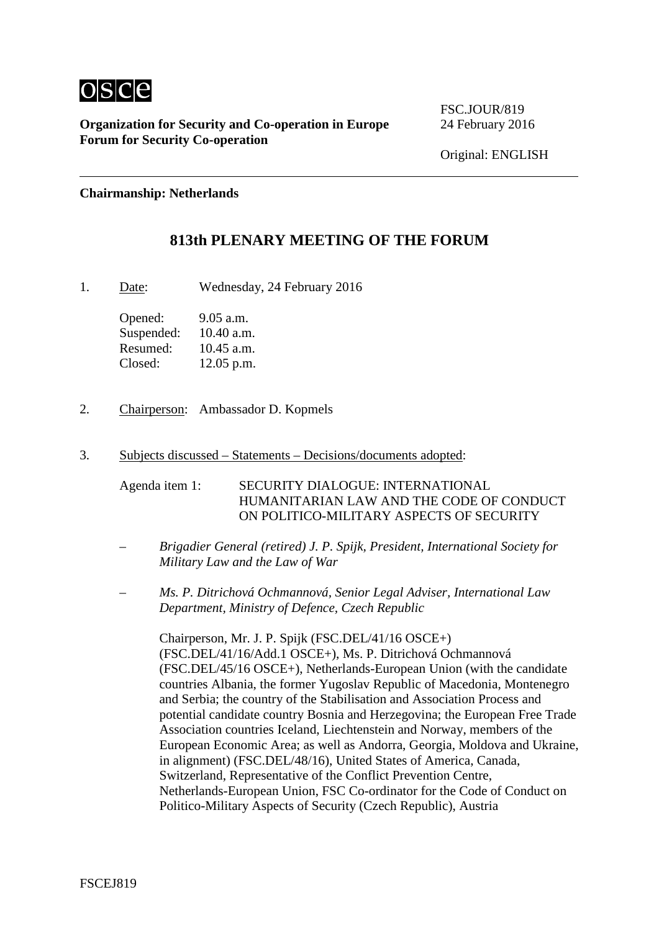

**Organization for Security and Co-operation in Europe** 24 February 2016 **Forum for Security Co-operation**

FSC.JOUR/819

Original: ENGLISH

**Chairmanship: Netherlands**

# **813th PLENARY MEETING OF THE FORUM**

1. Date: Wednesday, 24 February 2016

Opened: 9.05 a.m. Suspended: 10.40 a.m. Resumed:  $10.45$  a.m. Closed: 12.05 p.m.

- 2. Chairperson: Ambassador D. Kopmels
- 3. Subjects discussed Statements Decisions/documents adopted:

Agenda item 1: SECURITY DIALOGUE: INTERNATIONAL HUMANITARIAN LAW AND THE CODE OF CONDUCT ON POLITICO-MILITARY ASPECTS OF SECURITY

- *– Brigadier General (retired) J. P. Spijk, President, International Society for Military Law and the Law of War*
- *– Ms. P. Ditrichová Ochmannová, Senior Legal Adviser, International Law Department, Ministry of Defence, Czech Republic*

Chairperson, Mr. J. P. Spijk (FSC.DEL/41/16 OSCE+) (FSC.DEL/41/16/Add.1 OSCE+), Ms. P. Ditrichová Ochmannová (FSC.DEL/45/16 OSCE+), Netherlands-European Union (with the candidate countries Albania, the former Yugoslav Republic of Macedonia, Montenegro and Serbia; the country of the Stabilisation and Association Process and potential candidate country Bosnia and Herzegovina; the European Free Trade Association countries Iceland, Liechtenstein and Norway, members of the European Economic Area; as well as Andorra, Georgia, Moldova and Ukraine, in alignment) (FSC.DEL/48/16), United States of America, Canada, Switzerland, Representative of the Conflict Prevention Centre, Netherlands-European Union, FSC Co-ordinator for the Code of Conduct on Politico-Military Aspects of Security (Czech Republic), Austria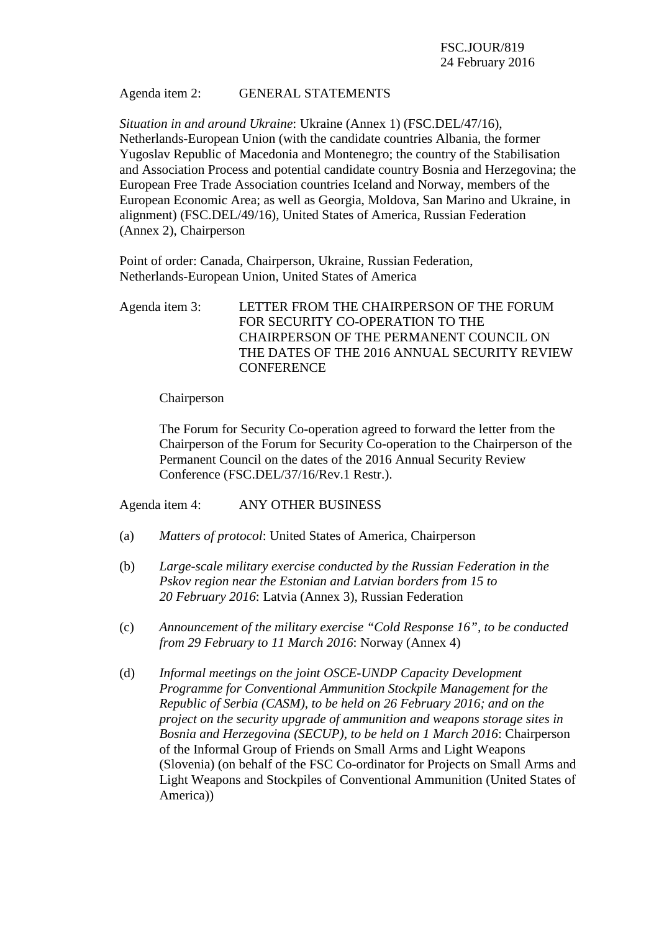### Agenda item 2: GENERAL STATEMENTS

*Situation in and around Ukraine*: Ukraine (Annex 1) (FSC.DEL/47/16), Netherlands-European Union (with the candidate countries Albania, the former Yugoslav Republic of Macedonia and Montenegro; the country of the Stabilisation and Association Process and potential candidate country Bosnia and Herzegovina; the European Free Trade Association countries Iceland and Norway, members of the European Economic Area; as well as Georgia, Moldova, San Marino and Ukraine, in alignment) (FSC.DEL/49/16), United States of America, Russian Federation (Annex 2), Chairperson

Point of order: Canada, Chairperson, Ukraine, Russian Federation, Netherlands-European Union, United States of America

Agenda item 3: LETTER FROM THE CHAIRPERSON OF THE FORUM FOR SECURITY CO-OPERATION TO THE CHAIRPERSON OF THE PERMANENT COUNCIL ON THE DATES OF THE 2016 ANNUAL SECURITY REVIEW **CONFERENCE** 

#### Chairperson

The Forum for Security Co-operation agreed to forward the letter from the Chairperson of the Forum for Security Co-operation to the Chairperson of the Permanent Council on the dates of the 2016 Annual Security Review Conference (FSC.DEL/37/16/Rev.1 Restr.).

Agenda item 4: ANY OTHER BUSINESS

- (a) *Matters of protocol*: United States of America, Chairperson
- (b) *Large-scale military exercise conducted by the Russian Federation in the Pskov region near the Estonian and Latvian borders from 15 to 20 February 2016*: Latvia (Annex 3), Russian Federation
- (c) *Announcement of the military exercise "Cold Response 16", to be conducted from 29 February to 11 March 2016*: Norway (Annex 4)
- (d) *Informal meetings on the joint OSCE-UNDP Capacity Development Programme for Conventional Ammunition Stockpile Management for the Republic of Serbia (CASM), to be held on 26 February 2016; and on the project on the security upgrade of ammunition and weapons storage sites in Bosnia and Herzegovina (SECUP), to be held on 1 March 2016*: Chairperson of the Informal Group of Friends on Small Arms and Light Weapons (Slovenia) (on behalf of the FSC Co-ordinator for Projects on Small Arms and Light Weapons and Stockpiles of Conventional Ammunition (United States of America))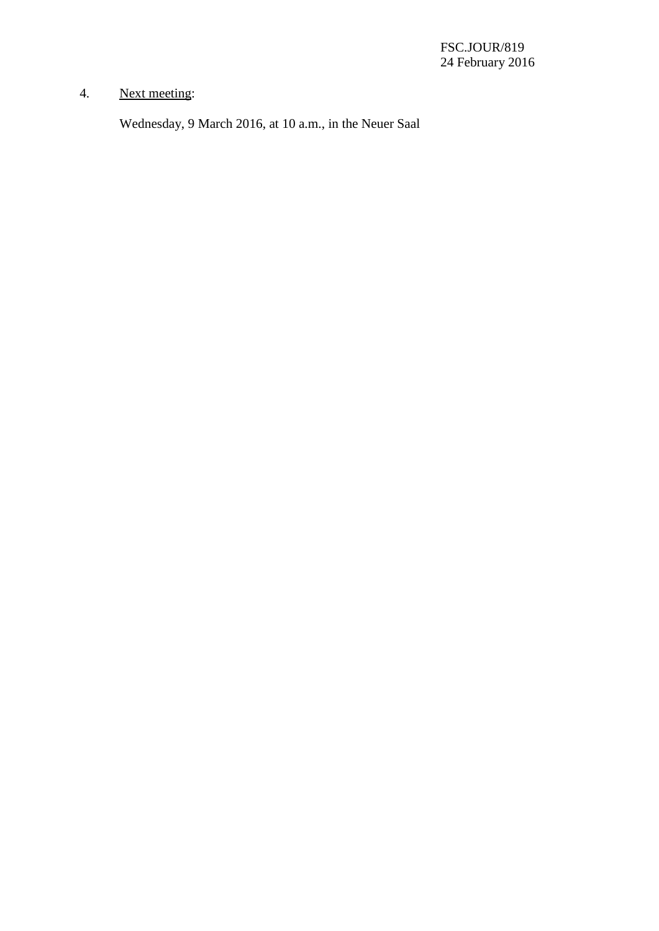# 4. Next meeting:

Wednesday, 9 March 2016, at 10 a.m., in the Neuer Saal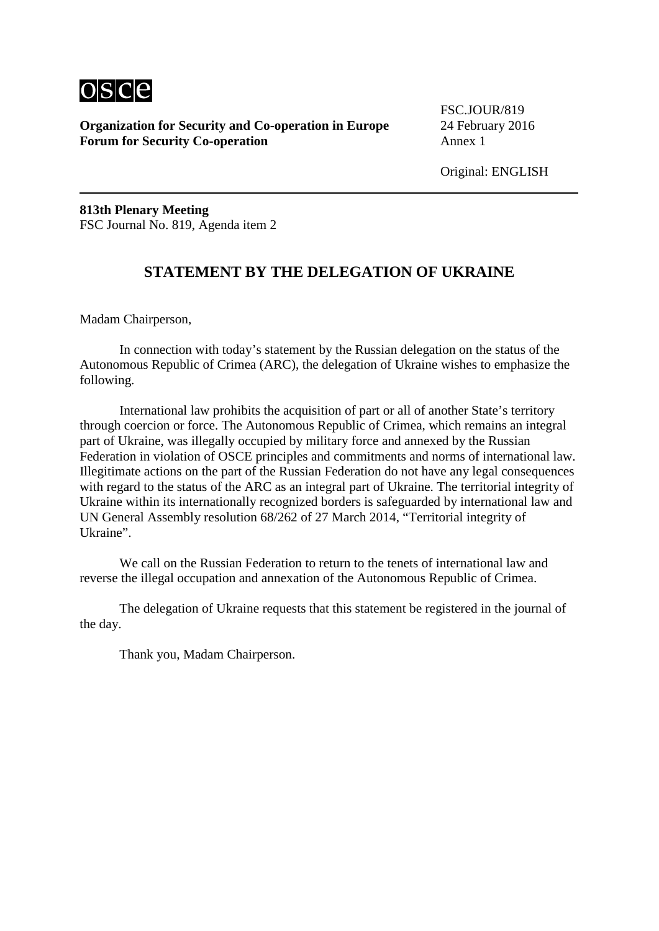

**Organization for Security and Co-operation in Europe** 24 February 2016 **Forum for Security Co-operation** Annex 1

FSC.JOUR/819

Original: ENGLISH

**813th Plenary Meeting** FSC Journal No. 819, Agenda item 2

## **STATEMENT BY THE DELEGATION OF UKRAINE**

Madam Chairperson,

In connection with today's statement by the Russian delegation on the status of the Autonomous Republic of Crimea (ARC), the delegation of Ukraine wishes to emphasize the following.

International law prohibits the acquisition of part or all of another State's territory through coercion or force. The Autonomous Republic of Crimea, which remains an integral part of Ukraine, was illegally occupied by military force and annexed by the Russian Federation in violation of OSCE principles and commitments and norms of international law. Illegitimate actions on the part of the Russian Federation do not have any legal consequences with regard to the status of the ARC as an integral part of Ukraine. The territorial integrity of Ukraine within its internationally recognized borders is safeguarded by international law and UN General Assembly resolution 68/262 of 27 March 2014, "Territorial integrity of Ukraine".

We call on the Russian Federation to return to the tenets of international law and reverse the illegal occupation and annexation of the Autonomous Republic of Crimea.

The delegation of Ukraine requests that this statement be registered in the journal of the day.

Thank you, Madam Chairperson.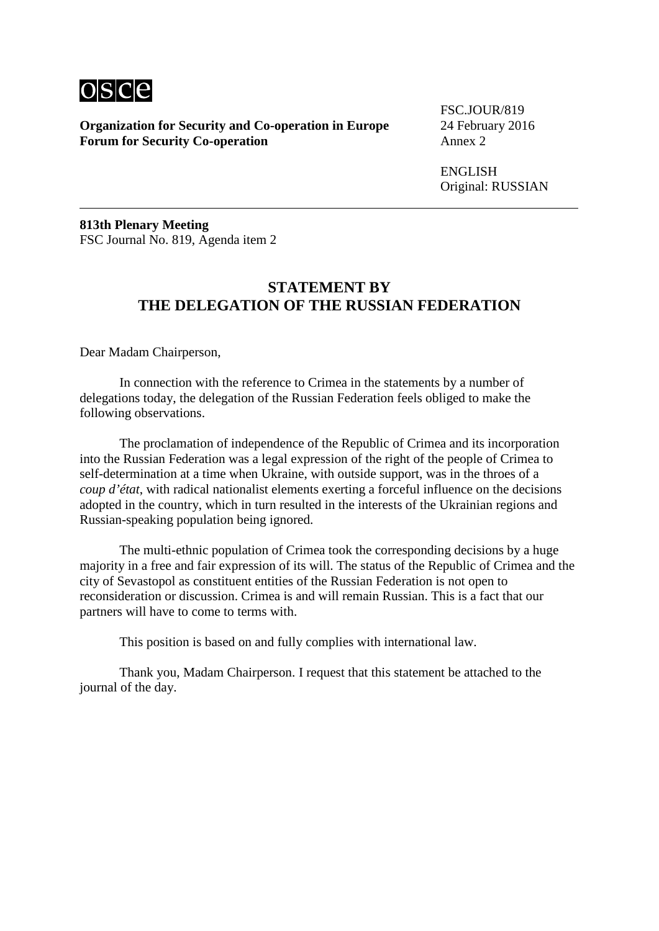

**Organization for Security and Co-operation in Europe** 24 February 2016 **Forum for Security Co-operation** 

FSC.JOUR/819

ENGLISH Original: RUSSIAN

**813th Plenary Meeting** FSC Journal No. 819, Agenda item 2

# **STATEMENT BY THE DELEGATION OF THE RUSSIAN FEDERATION**

Dear Madam Chairperson,

In connection with the reference to Crimea in the statements by a number of delegations today, the delegation of the Russian Federation feels obliged to make the following observations.

The proclamation of independence of the Republic of Crimea and its incorporation into the Russian Federation was a legal expression of the right of the people of Crimea to self-determination at a time when Ukraine, with outside support, was in the throes of a *coup d'état*, with radical nationalist elements exerting a forceful influence on the decisions adopted in the country, which in turn resulted in the interests of the Ukrainian regions and Russian-speaking population being ignored.

The multi-ethnic population of Crimea took the corresponding decisions by a huge majority in a free and fair expression of its will. The status of the Republic of Crimea and the city of Sevastopol as constituent entities of the Russian Federation is not open to reconsideration or discussion. Crimea is and will remain Russian. This is a fact that our partners will have to come to terms with.

This position is based on and fully complies with international law.

Thank you, Madam Chairperson. I request that this statement be attached to the journal of the day.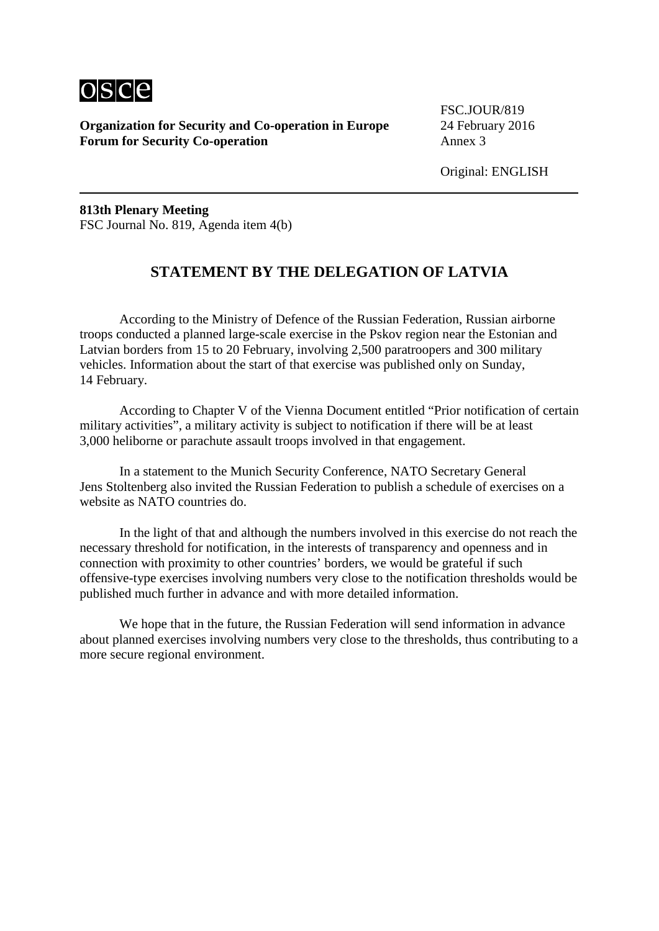

**Organization for Security and Co-operation in Europe** 24 February 2016 **Forum for Security Co-operation** Annex 3

FSC.JOUR/819

Original: ENGLISH

**813th Plenary Meeting** FSC Journal No. 819, Agenda item 4(b)

# **STATEMENT BY THE DELEGATION OF LATVIA**

According to the Ministry of Defence of the Russian Federation, Russian airborne troops conducted a planned large-scale exercise in the Pskov region near the Estonian and Latvian borders from 15 to 20 February, involving 2,500 paratroopers and 300 military vehicles. Information about the start of that exercise was published only on Sunday, 14 February.

According to Chapter V of the Vienna Document entitled "Prior notification of certain military activities", a military activity is subject to notification if there will be at least 3,000 heliborne or parachute assault troops involved in that engagement.

In a statement to the Munich Security Conference, NATO Secretary General Jens Stoltenberg also invited the Russian Federation to publish a schedule of exercises on a website as NATO countries do.

In the light of that and although the numbers involved in this exercise do not reach the necessary threshold for notification, in the interests of transparency and openness and in connection with proximity to other countries' borders, we would be grateful if such offensive-type exercises involving numbers very close to the notification thresholds would be published much further in advance and with more detailed information.

We hope that in the future, the Russian Federation will send information in advance about planned exercises involving numbers very close to the thresholds, thus contributing to a more secure regional environment.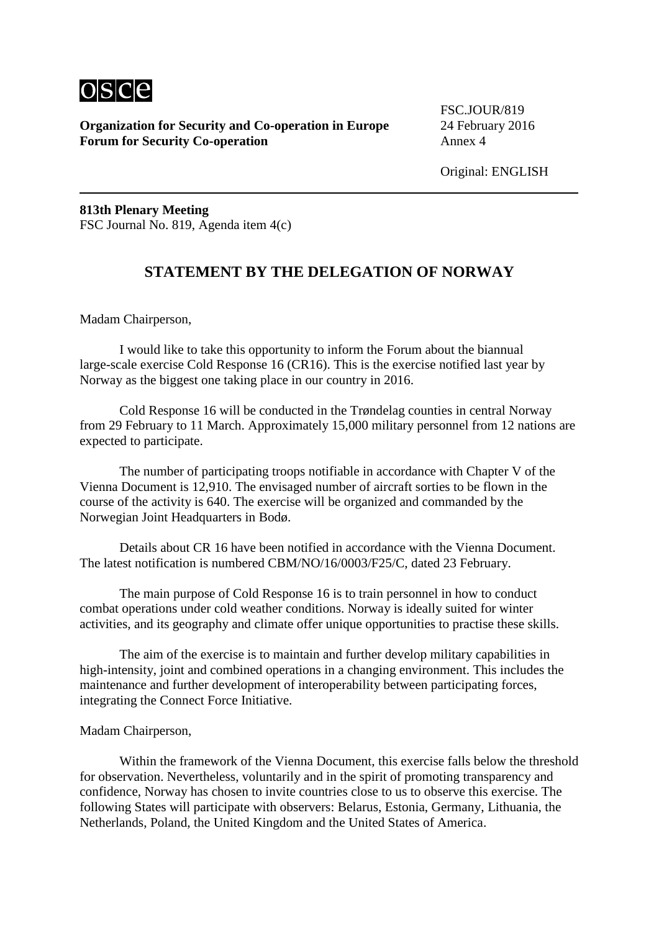

**Organization for Security and Co-operation in Europe** 24 February 2016 **Forum for Security Co-operation** Annex 4

FSC.JOUR/819

**813th Plenary Meeting** FSC Journal No. 819, Agenda item 4(c)

# **STATEMENT BY THE DELEGATION OF NORWAY**

Madam Chairperson,

I would like to take this opportunity to inform the Forum about the biannual large-scale exercise Cold Response 16 (CR16). This is the exercise notified last year by Norway as the biggest one taking place in our country in 2016.

Cold Response 16 will be conducted in the Trøndelag counties in central Norway from 29 February to 11 March. Approximately 15,000 military personnel from 12 nations are expected to participate.

The number of participating troops notifiable in accordance with Chapter V of the Vienna Document is 12,910. The envisaged number of aircraft sorties to be flown in the course of the activity is 640. The exercise will be organized and commanded by the Norwegian Joint Headquarters in Bodø.

Details about CR 16 have been notified in accordance with the Vienna Document. The latest notification is numbered CBM/NO/16/0003/F25/C, dated 23 February.

The main purpose of Cold Response 16 is to train personnel in how to conduct combat operations under cold weather conditions. Norway is ideally suited for winter activities, and its geography and climate offer unique opportunities to practise these skills.

The aim of the exercise is to maintain and further develop military capabilities in high-intensity, joint and combined operations in a changing environment. This includes the maintenance and further development of interoperability between participating forces, integrating the Connect Force Initiative.

#### Madam Chairperson,

Within the framework of the Vienna Document, this exercise falls below the threshold for observation. Nevertheless, voluntarily and in the spirit of promoting transparency and confidence, Norway has chosen to invite countries close to us to observe this exercise. The following States will participate with observers: Belarus, Estonia, Germany, Lithuania, the Netherlands, Poland, the United Kingdom and the United States of America.